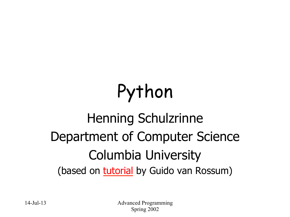# Python

#### Henning Schulzrinne Department of Computer Science Columbia University (based on tutorial by Guido van Rossum)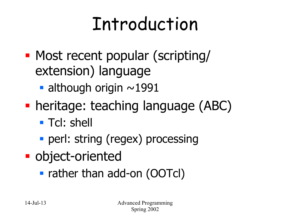#### Introduction

- § Most recent popular (scripting/ extension) language
	- $\blacksquare$  although origin  $\sim$ 1991
- heritage: teaching language (ABC)
	- Tcl: shell
	- **perl: string (regex) processing**
- object-oriented
	- rather than add-on (OOTcl)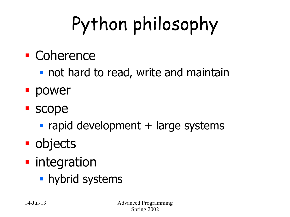# Python philosophy

#### ■ Coherence

- **not hard to read, write and maintain**
- § power
- § scope
	- $\blacksquare$  rapid development  $+$  large systems
- objects
- **integration** 
	- **hybrid systems**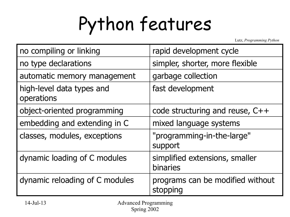# Python features

Lutz, *Programming Python* 

| no compiling or linking                 | rapid development cycle                      |  |  |  |
|-----------------------------------------|----------------------------------------------|--|--|--|
| no type declarations                    | simpler, shorter, more flexible              |  |  |  |
| automatic memory management             | garbage collection                           |  |  |  |
| high-level data types and<br>operations | fast development                             |  |  |  |
| object-oriented programming             | code structuring and reuse, $C++$            |  |  |  |
| embedding and extending in C            | mixed language systems                       |  |  |  |
| classes, modules, exceptions            | "programming-in-the-large"<br>support        |  |  |  |
| dynamic loading of C modules            | simplified extensions, smaller<br>binaries   |  |  |  |
| dynamic reloading of C modules          | programs can be modified without<br>stopping |  |  |  |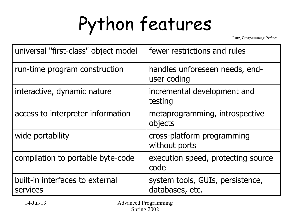# Python features

Lutz, *Programming Python* 

| universal "first-class" object model        | fewer restrictions and rules                        |  |  |
|---------------------------------------------|-----------------------------------------------------|--|--|
| run-time program construction               | handles unforeseen needs, end-<br>user coding       |  |  |
| interactive, dynamic nature                 | incremental development and<br>testing              |  |  |
| access to interpreter information           | metaprogramming, introspective<br>objects           |  |  |
| wide portability                            | cross-platform programming<br>without ports         |  |  |
| compilation to portable byte-code           | execution speed, protecting source<br>code          |  |  |
| built-in interfaces to external<br>services | system tools, GUIs, persistence,<br>databases, etc. |  |  |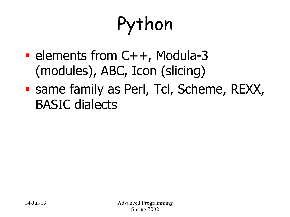# Python

- elements from C++, Modula-3 (modules), ABC, Icon (slicing)
- same family as Perl, Tcl, Scheme, REXX, BASIC dialects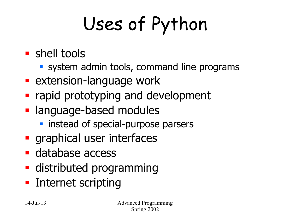# Uses of Python

- shell tools
	- system admin tools, command line programs
- **Extension-language work**
- rapid prototyping and development
- language-based modules
	- instead of special-purpose parsers
- **•** graphical user interfaces
- database access
- § distributed programming
- § Internet scripting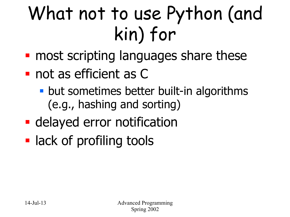## What not to use Python (and kin) for

- **most scripting languages share these**
- not as efficient as C
	- **but sometimes better built-in algorithms** (e.g., hashing and sorting)
- **delayed error notification**
- lack of profiling tools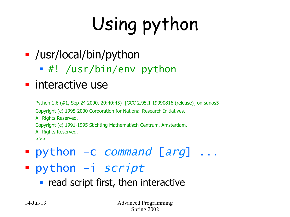# Using python

- /usr/local/bin/python
	- § #! /usr/bin/env python

#### • interactive use

Python 1.6 (#1, Sep 24 2000, 20:40:45) [GCC 2.95.1 19990816 (release)] on sunos5 Copyright (c) 1995-2000 Corporation for National Research Initiatives. All Rights Reserved. Copyright (c) 1991-1995 Stichting Mathematisch Centrum, Amsterdam. All Rights Reserved. >>>

- python –c command [arg] ...
- § python –i script
	- read script first, then interactive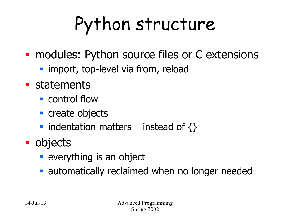# Python structure

- modules: Python source files or C extensions
	- import, top-level via from, reload
- statements
	- control flow
	- create objects
	- indentation matters instead of  $\{\}$
- objects
	- **everything is an object**
	- **automatically reclaimed when no longer needed**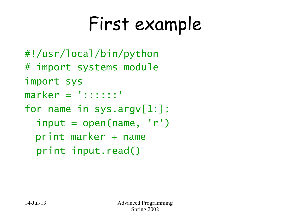### First example

```
#!/usr/local/bin/python 
# import systems module
import sys 
market = '::::::'for name in sys.argv[1:]: 
  input = open(name, 'r')print marker + name 
   print input.read()
```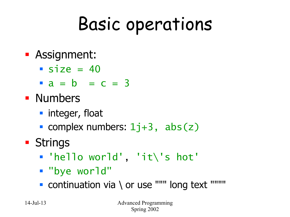## Basic operations

#### **• Assignment:**

- $\blacksquare$  size = 40
- $a = b = c = 3$
- § Numbers
	- integer, float
	- complex numbers:  $1j+3$ ,  $abs(z)$
- Strings
	- § 'hello world', 'it\'s hot'
	- § "bye world"
	- continuation via \ or use """ long text """"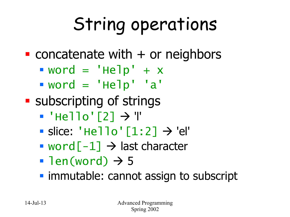# String operations

• concatenate with  $+$  or neighbors

- $word = 'Help' + x$
- § word = 'Help' 'a'

§ subscripting of strings

- **'Hello'[2]**  $\rightarrow$  **''**
- slice: 'Hello'  $[1:2]$   $\rightarrow$  'el'
- word  $\lceil -1 \rceil \rightarrow$  last character
- len(word)  $\rightarrow$  5
- **immutable: cannot assign to subscript**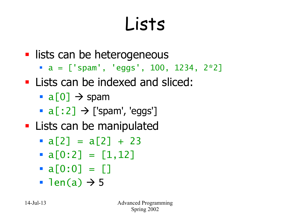#### Lists

- lists can be heterogeneous
	- $a = [\text{Spam}', \text{leggs}', 100, 1234, 2*2]$
- Lists can be indexed and sliced:
	- $a[0] \rightarrow$  spam
	- a $[:2] \rightarrow$  ['spam', 'eggs']
- **Example in Lists can be manipulated** 
	- $\blacksquare$  a[2] = a[2] + 23
	- $a[0:2] = [1,12]$
	- $a[0:0] = []$
	- len(a)  $\rightarrow$  5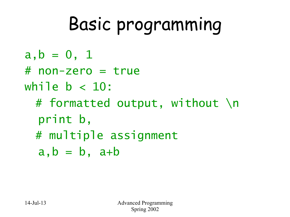#### Basic programming

$$
a, b = 0, 1
$$

- $#$  non-zero = true
- while  $b < 10$ :
	- # formatted output, without \n print b,
	- # multiple assignment
	- $a, b = b, a+b$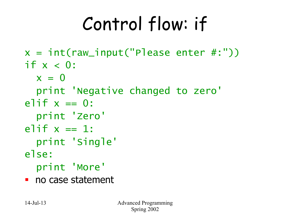### Control flow: if

 $x = int(raw_input("Please enter #:"))$ if  $x < 0$ :

 $x = 0$ 

print 'Negative changed to zero'

```
elif x == 0:
```
print 'Zero'

$$
elif x == 1:
$$

print 'Single'

else:

print 'More'

• no case statement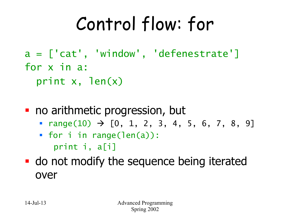### Control flow: for

a = ['cat', 'window', 'defenestrate'] for x in a:

print x, len(x)

- no arithmetic progression, but
	- range(10)  $\rightarrow$  [0, 1, 2, 3, 4, 5, 6, 7, 8, 9]
	- § for i in range(len(a)): print i, a[i]
- do not modify the sequence being iterated over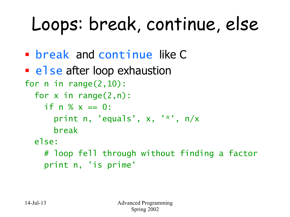## Loops: break, continue, else

§ break and continue like C

```
• else after loop exhaustion
for n in range(2, 10):
   for x in range(2,n): 
    if n % x == 0:
       print n, 'equals', x, '*', n/x 
       break 
   else: 
     # loop fell through without finding a factor 
     print n, 'is prime'
```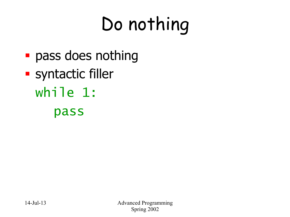# Do nothing

- pass does nothing
- § syntactic filler while 1:
	-

pass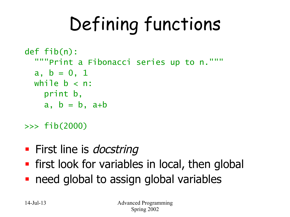# Defining functions

```
def fib(n): 
   """Print a Fibonacci series up to n.""" 
  a, b = 0, 1
  while b < n:
     print b, 
    a, b = b, a+b
```
#### >>> fib(2000)

- First line is *docstring*
- first look for variables in local, then global
- need global to assign global variables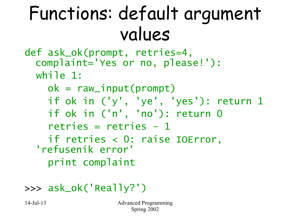#### Functions: default argument values

```
def ask_ok(prompt, retries=4, 
  complaint='Yes or no, please!'): 
   while 1: 
    ok = raw_input(prompt) if ok in ('y', 'ye', 'yes'): return 1 
     if ok in ('n', 'no'): return 0 
    retries = retries - 1 if retries < 0: raise IOError, 
  'refusenik error' 
     print complaint
```
#### >>> ask\_ok('Really?')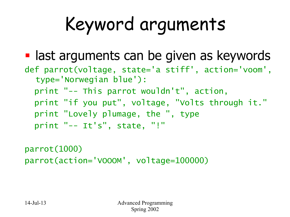# Keyword arguments

- last arguments can be given as keywords
- def parrot(voltage, state='a stiff', action='voom', type='Norwegian blue'): print "-- This parrot wouldn't", action, print "if you put", voltage, "Volts through it." print "Lovely plumage, the ", type
	- print "-- It's", state, "!"

```
parrot(1000) 
parrot(action='VOOOM', voltage=100000)
```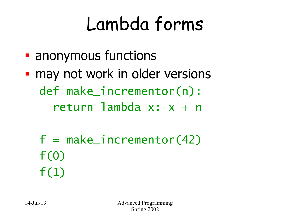#### Lambda forms

- anonymous functions
- may not work in older versions def make\_incrementor(n): return lambda x: x + n
	- $f = make_incrementor(42)$  $f(0)$  $f(1)$

14-Jul-13 Advanced Programming Spring 2002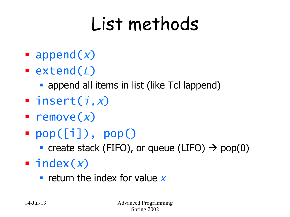#### List methods

- **•** append $(x)$
- **extend(L)** 
	- append all items in list (like Tcl lappend)
- **insert(i,x)**
- **remove(x)**
- $\textcolor{blue}\bullet\ \textcolor{blue}\text{pop}(\text{[i]}),\ \textcolor{blue}\text{pop()}$ 
	- Greate stack (FIFO), or queue (LIFO)  $\rightarrow$  pop(0)
- $\blacksquare$  index(x)
	- **return the index for value x**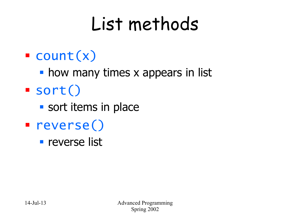#### List methods

- $\text{count}(x)$ 
	- how many times x appears in list
- $\blacksquare$  sort()
	- § sort items in place
- § reverse()

**• reverse list**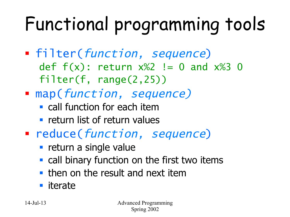# Functional programming tools

- **filter(function, sequence)** def  $f(x)$ : return  $x\%2$  != 0 and  $x\%3$  0 filter(f, range(2,25))
- map(function, sequence)
	- call function for each item
	- **return list of return values**
- reduce(function, sequence)
	- return a single value
	- call binary function on the first two items
	- $\blacksquare$  then on the result and next item
	- iterate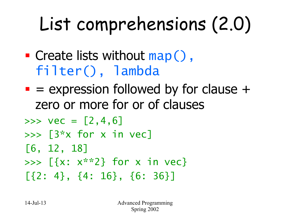## List comprehensions (2.0)

- Create lists without  $map()$ , filter(), lambda
- $\blacksquare$  = expression followed by for clause + zero or more for or of clauses

$$
\Rightarrow \Rightarrow \text{ vec} = [2, 4, 6]
$$

>>> [3\*x for x in vec]

- [6, 12, 18]
- >>>  $[\{x: x^{**}2\}$  for x in vec}
- [{2: 4}, {4: 16}, {6: 36}]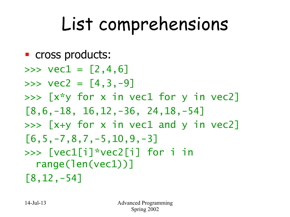### List comprehensions

■ cross products:

 $\gg$  vec1 = [2,4,6]  $\gg$  vec2 = [4,3,-9]  $\Rightarrow$  [x\*y for x in vec1 for y in vec2]  $[8,6,-18, 16, 12, -36, 24, 18, -54]$  $\gg$  [x+y for x in vec1 and y in vec2]  $[6, 5, -7, 8, 7, -5, 10, 9, -3]$ >>> [vec1[i]\*vec2[i] for i in range(len(vec1))] [8,12,-54]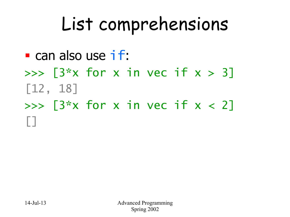#### List comprehensions

- $\blacksquare$  can also use if:
- $\Rightarrow$  [3\*x for x in vec if  $x > 3$ ] [12, 18]  $\Rightarrow$  [3\*x for x in vec if  $x < 2$ ]  $\Box$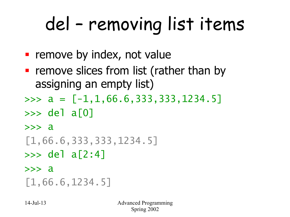# del – removing list items

- remove by index, not value
- remove slices from list (rather than by assigning an empty list)
- $\Rightarrow$  a =  $[-1, 1, 66.6, 333, 333, 1234.5]$
- $\gg$  del a[0]
- $\rightarrow$  > a
- [1,66.6,333,333,1234.5]
- >>> del a[2:4]
- $\rightarrow$  > a
- [1,66.6,1234.5]

14-Jul-13 Advanced Programming Spring 2002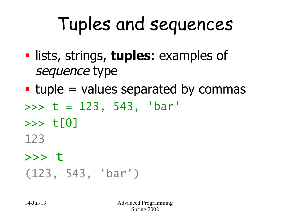#### Tuples and sequences

- § lists, strings, **tuples**: examples of sequence type
- $\blacksquare$  tuple = values separated by commas
- $\Rightarrow$   $\ge$   $t = 123, 543, 'bar'$
- >>> t[0]
- 123
- >>> t
- (123, 543, 'bar')

14-Jul-13 Advanced Programming Spring 2002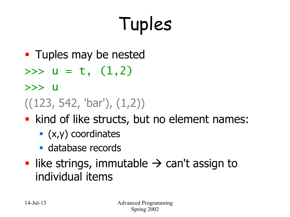# Tuples

- Tuples may be nested
- $\Rightarrow$   $>$   $u = t$ ,  $(1,2)$
- >>> u
- $((123, 542, 'bar'), (1,2))$
- kind of like structs, but no element names:
	- $(x,y)$  coordinates
	- **database records**
- like strings, immutable  $\rightarrow$  can't assign to individual items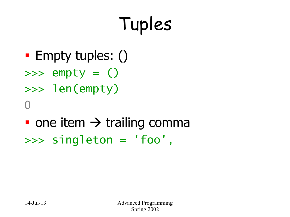# Tuples

- Empty tuples: ()
- $\Rightarrow$   $\Rightarrow$  empty =  $()$
- >>> len(empty)
- $\bigcap$
- one item  $\rightarrow$  trailing comma >>> singleton = 'foo',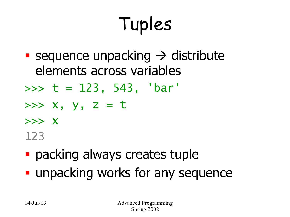# Tuples

- sequence unpacking  $\rightarrow$  distribute elements across variables
- $\Rightarrow$   $\Rightarrow$   $t = 123$ , 543, 'bar'
- $\Rightarrow$   $\times$  ,  $\vee$  ,  $\times$  = t
- >>> x

123

- packing always creates tuple
- **unpacking works for any sequence**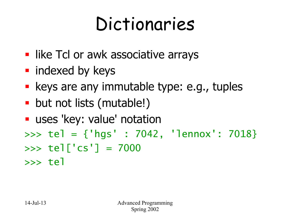#### Dictionaries

- like Tcl or awk associative arrays
- indexed by keys
- keys are any immutable type: e.g., tuples
- but not lists (mutable!)
- **uses 'key: value' notation**
- >>> tel = {'hgs' : 7042, 'lennox': 7018} >>> tel['cs'] = 7000 >>> tel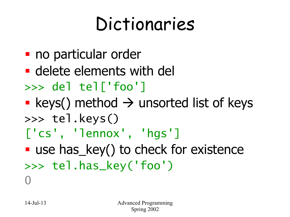#### Dictionaries

- no particular order
- **delete elements with del**
- >>> del tel['foo']
- keys() method  $\rightarrow$  unsorted list of keys >>> tel.keys()
- ['cs', 'lennox', 'hgs']
- use has\_key() to check for existence
- >>> tel.has\_key('foo')

0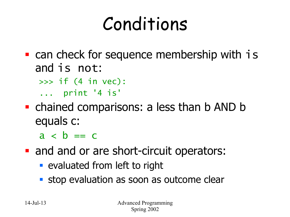## Conditions

• can check for sequence membership with is and is not:

>>> if (4 in vec):

... print '4 is'

• chained comparisons: a less than b AND b equals c:

 $a < b == c$ 

- and and or are short-circuit operators:
	- evaluated from left to right
	- stop evaluation as soon as outcome clear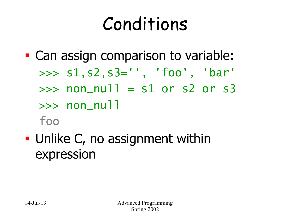#### Conditions

- Can assign comparison to variable:
	- $\gg$  s1,s2,s3='', 'foo', 'bar'
	- $\gg$  non null = s1 or s2 or s3
	- $\gg$  non null

foo

• Unlike C, no assignment within expression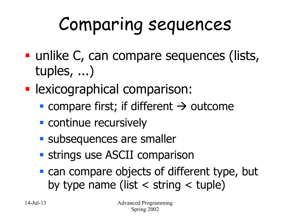## Comparing sequences

- unlike C, can compare sequences (lists, tuples, ...)
- **lexicographical comparison:** 
	- compare first; if different  $\rightarrow$  outcome
	- **continue recursively**
	- **subsequences are smaller**
	- **strings use ASCII comparison**
	- can compare objects of different type, but by type name (list  $\langle$  string  $\langle$  tuple)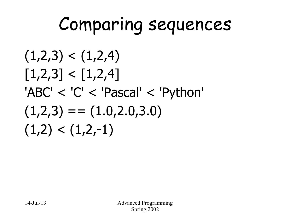#### Comparing sequences

$$
(1,2,3) < (1,2,4)
$$
\n
$$
[1,2,3] < [1,2,4]
$$
\n
$$
'ABC' < 'C' < 'Pascal' < 'Python'
$$
\n
$$
(1,2,3) == (1.0,2.0,3.0)
$$
\n
$$
(1,2) < (1,2,-1)
$$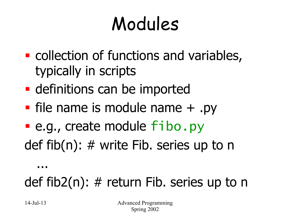## Modules

- collection of functions and variables, typically in scripts
- **definitions can be imported**
- file name is module name  $+$  .py
- e.g., create module fibo.py def fib(n):  $\#$  write Fib. series up to n

...

#### def fib2(n):  $\#$  return Fib. series up to n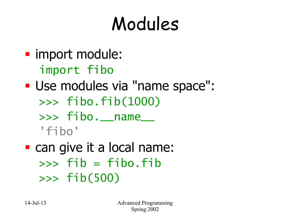### Modules

• import module: import fibo

#### § Use modules via "name space":

- $\gg$  fibo.fib $(1000)$
- >>> fibo.\_name\_\_
- 'fibo'
- can give it a local name:  $\Rightarrow$   $\Rightarrow$   $fib = fibo.fib$ >>> fib(500)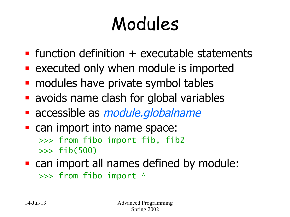## Modules

- $\blacksquare$  function definition  $\pm$  executable statements
- **executed only when module is imported**
- modules have private symbol tables
- § avoids name clash for global variables
- accessible as *module.globalname*
- can import into name space: >>> from fibo import fib, fib2  $\gg$  fib(500)
- can import all names defined by module: >>> from fibo import \*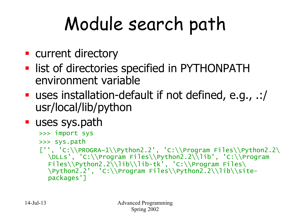# Module search path

- current directory
- **list of directories specified in PYTHONPATH** environment variable
- uses installation-default if not defined, e.g., .:/ usr/local/lib/python
- § uses sys.path

```
>>> import sys 
>>> sys.path 
['', 'C:\\PROGRA~1\\Python2.2', 'C:\\Program Files\\Python2.2\
  \DLLs', 'C:\\Program Files\\Python2.2\\lib', 'C:\\Program 
  Files\\Python2.2\\lib\\lib-tk', 'C:\\Program Files\
  \Python2.2', 'C:\\Program Files\\Python2.2\\lib\\site-
  packages']
```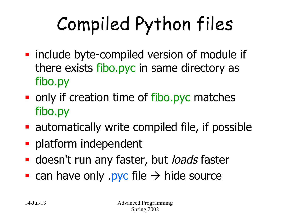# Compiled Python files

- include byte-compiled version of module if there exists fibo.pyc in same directory as fibo.py
- only if creation time of fibo.pyc matches fibo.py
- automatically write compiled file, if possible
- **platform independent**
- **doesn't run any faster, but loads faster**
- can have only .pyc file  $\rightarrow$  hide source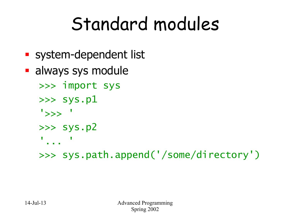#### Standard modules

- system-dependent list
- **always sys module** 
	- >>> import sys
	- $\gg$  sys.pl
	- $'$ >>>  $'$
	- >>> sys.p2
	- '... '
	- >>> sys.path.append('/some/directory')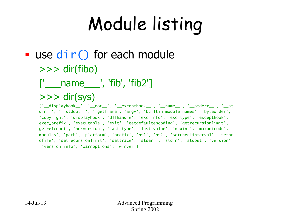# Module listing

#### ■ use dir() for each module >>> dir(fibo)

#### [' name\_\_\_', 'fib', 'fib2']

#### $\Rightarrow$   $\frac{1}{\text{dir}(sys)}$

['\_\_displayhook\_\_', '\_\_doc\_\_', '\_\_excepthook\_\_', '\_\_name\_\_', '\_\_stderr\_\_', '\_\_st din\_\_', '\_\_stdout\_\_', '\_getframe', 'argv', 'builtin\_module\_names', 'byteorder', 'copyright', 'displayhook', 'dllhandle', 'exc\_info', 'exc\_type', 'excepthook', ' exec\_prefix', 'executable', 'exit', 'getdefaultencoding', 'getrecursionlimit', ' getrefcount', 'hexversion', 'last\_type', 'last\_value', 'maxint', 'maxunicode', ' modules', 'path', 'platform', 'prefix', 'ps1', 'ps2', 'setcheckinterval', 'setpr ofile', 'setrecursionlimit', 'settrace', 'stderr', 'stdin', 'stdout', 'version', 'version\_info', 'warnoptions', 'winver']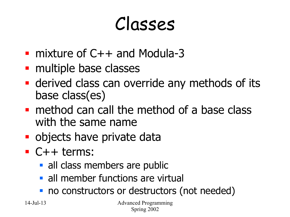#### Classes

- § mixture of C++ and Modula-3
- multiple base classes
- **derived class can override any methods of its** base class(es)
- method can call the method of a base class with the same name
- **objects have private data**
- $\blacksquare$  C++ terms:
	- all class members are public
	- all member functions are virtual
	- no constructors or destructors (not needed)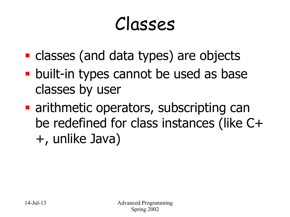#### Classes

- classes (and data types) are objects
- **built-in types cannot be used as base** classes by user
- arithmetic operators, subscripting can be redefined for class instances (like C+ +, unlike Java)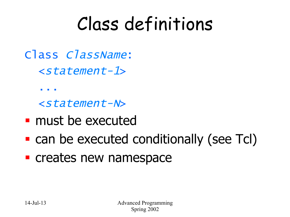#### Class definitions

Class ClassName: <statement-1>

...

<statement-N>

- must be executed
- can be executed conditionally (see Tcl)
- creates new namespace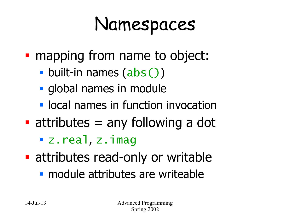#### Namespaces

- mapping from name to object:
	- built-in names (abs())
	- **global names in module**
	- **local names in function invocation**
- $\blacksquare$  attributes  $=$  any following a dot
	- § z.real, z.imag
- **Example 2 attributes read-only or writable** 
	- **module attributes are writeable**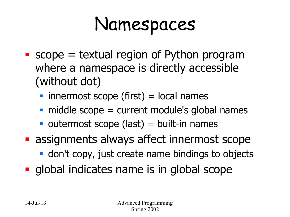#### Namespaces

- $\blacksquare$  scope = textual region of Python program where a namespace is directly accessible (without dot)
	- innermost scope (first) = local names
	- $\blacksquare$  middle scope = current module's global names
	- $\blacksquare$  outermost scope (last) = built-in names
- **assignments always affect innermost scope** 
	- don't copy, just create name bindings to objects
- global indicates name is in global scope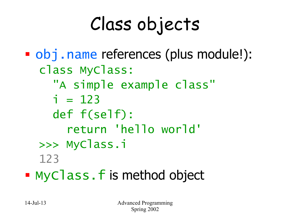## Class objects

• obj.name references (plus module!): class MyClass: "A simple example class"  $i = 123$  def f(self): return 'hello world' >>> MyClass.i 123 • MyClass. f is method object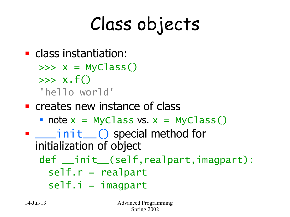# Class objects

- class instantiation:
	- $\Rightarrow \Rightarrow x = MyClass()$  $\Rightarrow \Rightarrow$  x.f() 'hello world'
- **creates new instance of class** 
	- note  $x = MyClass vs. x = MyClass()$
- $(i$ nit $( )$  special method for initialization of object

```
def __init__(self,realpart,imagpart): 
 self.r = real partself.i = image
```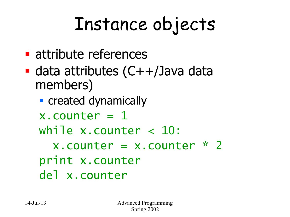## Instance objects

- attribute references
- $\blacksquare$  data attributes (C++/Java data members)
	- **created dynamically**
	- $x$ . counter =  $1$
	- while  $x$ . counter  $\langle 10:$
	- $x$ . Counter =  $x$ . Counter  $x \geq 2$ print x.counter del x.counter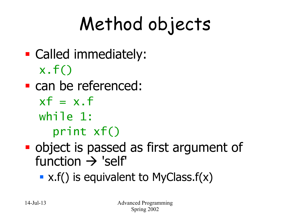# Method objects

- Called immediately:  $x.f()$
- can be referenced:
	- $xf = x.f$ while 1:

print xf()

- object is passed as first argument of function  $\rightarrow$  'self'
	- $\bullet$  x.f() is equivalent to MyClass.f(x)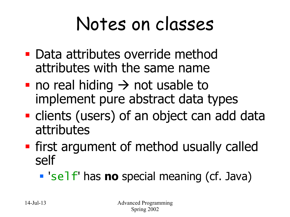#### Notes on classes

- § Data attributes override method attributes with the same name
- no real hiding  $\rightarrow$  not usable to implement pure abstract data types
- clients (users) of an object can add data attributes
- first argument of method usually called self
	- 'se<sup>1</sup>f' has **no** special meaning (cf. Java)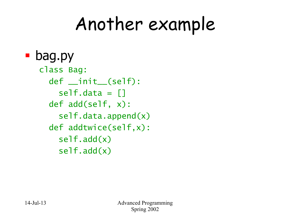#### Another example

#### § bag.py

class Bag: def \_\_init\_\_(self):  $self.data = []$  def add(self, x): self.data.append(x) def addtwice(self,x): self.add(x) self.add(x)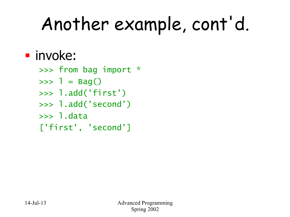## Another example, cont'd.

#### ■ invoke:

>>> from bag import \*  $\Rightarrow$  1 = Bag() >>> l.add('first') >>> l.add('second') >>> l.data ['first', 'second']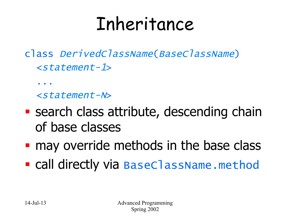#### Inheritance

- class DerivedClassName(BaseClassName) <statement-1>
	- <statement-N>
- search class attribute, descending chain of base classes
- may override methods in the base class
- call directly via BaseClassName.method

...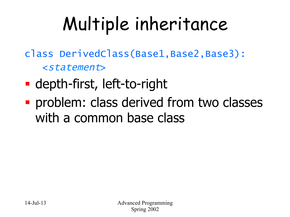## Multiple inheritance

class DerivedClass(Base1,Base2,Base3): <statement>

- **depth-first, left-to-right**
- § problem: class derived from two classes with a common base class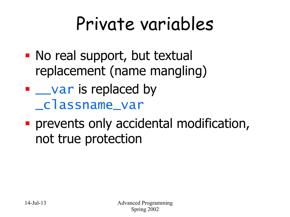#### Private variables

- No real support, but textual replacement (name mangling)
- <u>var</u> is replaced by \_classname\_var
- **prevents only accidental modification,** not true protection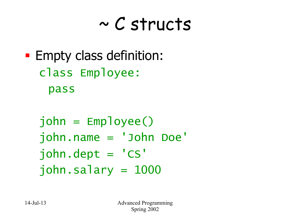#### ~ C structs

**Empty class definition:** class Employee: pass

 $john = Emplove()$ john.name = 'John Doe' john.dept = 'CS'  $john.salary =  $1000$$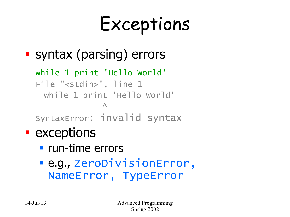## Exceptions

- § syntax (parsing) errors
	- while 1 print 'Hello World'

File "<stdin>", line 1 while 1 print 'Hello World'  $\wedge$ 

SyntaxError: invalid syntax

- exceptions
	- run-time errors
	- § e.g., ZeroDivisionError, NameError, TypeError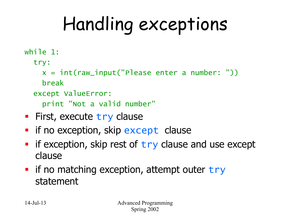# Handling exceptions

- while 1:
	- try:
		- $x = int(raw_input("Please enter a number: "))$ break
	- except ValueError:
		- print "Not a valid number"
- First, execute try clause
- if no exception, skip except clause
- **•** if exception, skip rest of try clause and use except clause
- if no matching exception, attempt outer try statement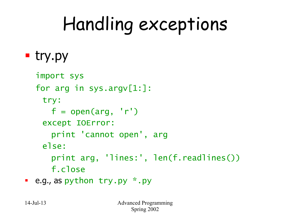# Handling exceptions

#### ■ try.py

```
import sys 
for arg in sys.argv[1:]: 
  try: 
   f = open(arg, 'r') except IOError: 
    print 'cannot open', arg 
 else: 
    print arg, 'lines:', len(f.readlines()) 
    f.close
```
■ e.g., as python try.py \*.py